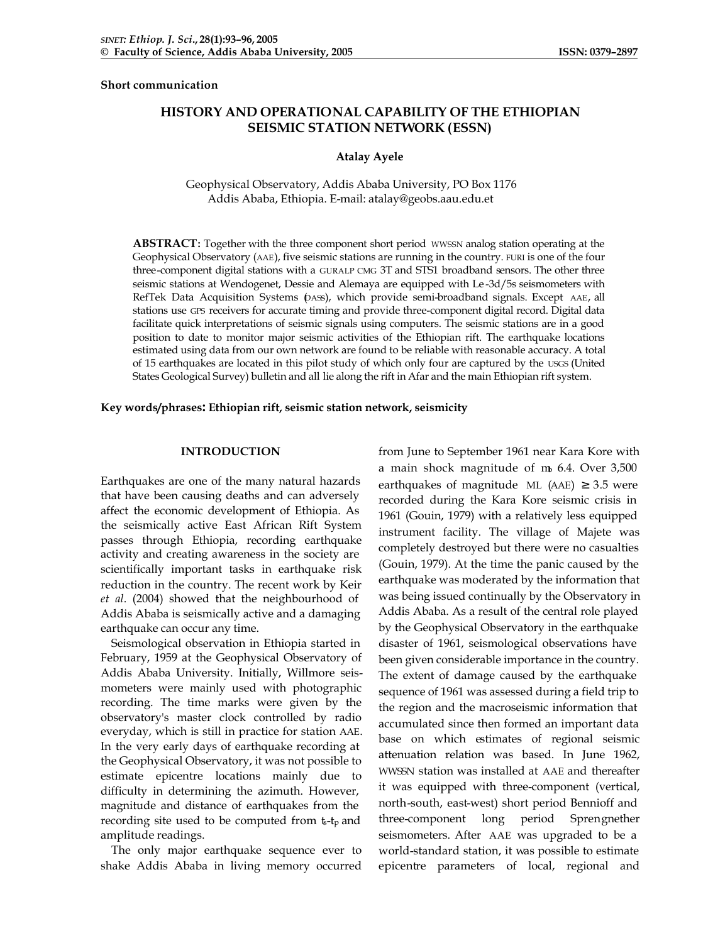**Short communication**

# **HISTORY AND OPERATIONAL CAPABILITY OF THE ETHIOPIAN SEISMIC STATION NETWORK (ESSN)**

#### **Atalay Ayele**

Geophysical Observatory, Addis Ababa University, PO Box 1176 Addis Ababa, Ethiopia. E-mail: atalay@geobs.aau.edu.et

**ABSTRACT:** Together with the three component short period WWSSN analog station operating at the Geophysical Observatory (AAE), five seismic stations are running in the country. FURI is one of the four three-component digital stations with a GURALP CMG 3T and STS1 broadband sensors. The other three seismic stations at Wendogenet, Dessie and Alemaya are equipped with Le -3d/5s seismometers with RefTek Data Acquisition Systems (DASS), which provide semi-broadband signals. Except AAE, all stations use GPS receivers for accurate timing and provide three-component digital record. Digital data facilitate quick interpretations of seismic signals using computers. The seismic stations are in a good position to date to monitor major seismic activities of the Ethiopian rift. The earthquake locations estimated using data from our own network are found to be reliable with reasonable accuracy. A total of 15 earthquakes are located in this pilot study of which only four are captured by the USGS (United States Geological Survey) bulletin and all lie along the rift in Afar and the main Ethiopian rift system.

#### **Key words/phrases: Ethiopian rift, seismic station network, seismicity**

### **INTRODUCTION**

Earthquakes are one of the many natural hazards that have been causing deaths and can adversely affect the economic development of Ethiopia. As the seismically active East African Rift System passes through Ethiopia, recording earthquake activity and creating awareness in the society are scientifically important tasks in earthquake risk reduction in the country. The recent work by Keir *et al*. (2004) showed that the neighbourhood of Addis Ababa is seismically active and a damaging earthquake can occur any time.

Seismological observation in Ethiopia started in February, 1959 at the Geophysical Observatory of Addis Ababa University. Initially, Willmore seismometers were mainly used with photographic recording. The time marks were given by the observatory's master clock controlled by radio everyday, which is still in practice for station AAE. In the very early days of earthquake recording at the Geophysical Observatory, it was not possible to estimate epicentre locations mainly due to difficulty in determining the azimuth. However, magnitude and distance of earthquakes from the recording site used to be computed from  $t$ - $t$ <sub>p</sub> and amplitude readings.

The only major earthquake sequence ever to shake Addis Ababa in living memory occurred from June to September 1961 near Kara Kore with a main shock magnitude of  $m_6$  6.4. Over 3,500 earthquakes of magnitude ML (AAE)  $\geq$  3.5 were recorded during the Kara Kore seismic crisis in 1961 (Gouin, 1979) with a relatively less equipped instrument facility. The village of Majete was completely destroyed but there were no casualties (Gouin, 1979). At the time the panic caused by the earthquake was moderated by the information that was being issued continually by the Observatory in Addis Ababa. As a result of the central role played by the Geophysical Observatory in the earthquake disaster of 1961, seismological observations have been given considerable importance in the country. The extent of damage caused by the earthquake sequence of 1961 was assessed during a field trip to the region and the macroseismic information that accumulated since then formed an important data base on which estimates of regional seismic attenuation relation was based. In June 1962, WWSSN station was installed at AAE and thereafter it was equipped with three-component (vertical, north-south, east-west) short period Bennioff and three-component long period Sprengnether seismometers. After AAE was upgraded to be a world-standard station, it was possible to estimate epicentre parameters of local, regional and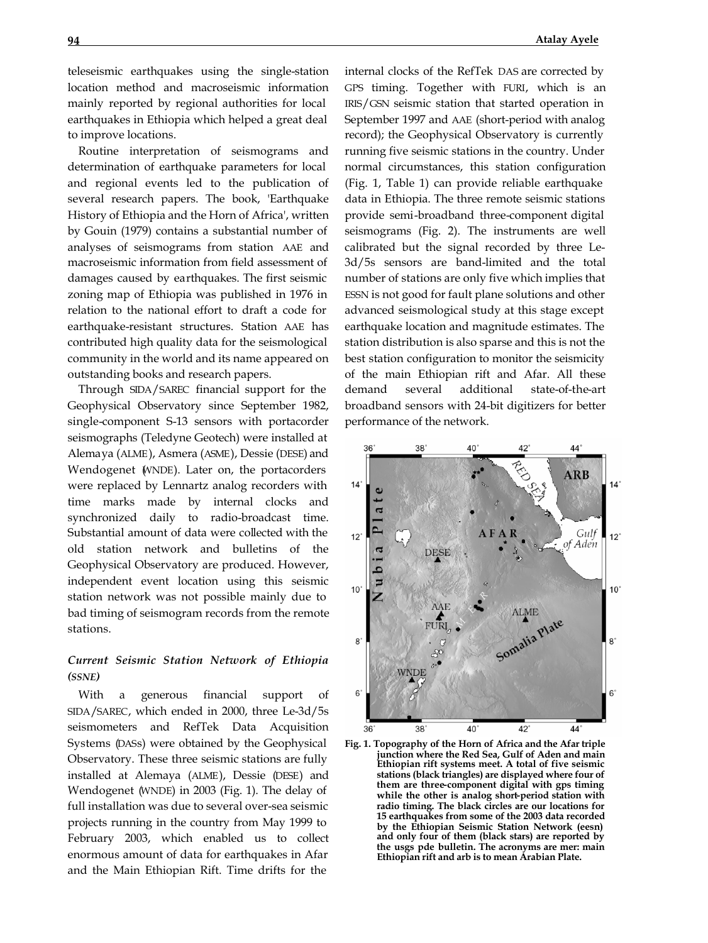teleseismic earthquakes using the single-station location method and macroseismic information mainly reported by regional authorities for local earthquakes in Ethiopia which helped a great deal to improve locations.

Routine interpretation of seismograms and determination of earthquake parameters for local and regional events led to the publication of several research papers. The book, 'Earthquake History of Ethiopia and the Horn of Africa', written by Gouin (1979) contains a substantial number of analyses of seismograms from station AAE and macroseismic information from field assessment of damages caused by earthquakes. The first seismic zoning map of Ethiopia was published in 1976 in relation to the national effort to draft a code for earthquake-resistant structures. Station AAE has contributed high quality data for the seismological community in the world and its name appeared on outstanding books and research papers.

Through SIDA/SAREC financial support for the Geophysical Observatory since September 1982, single-component S-13 sensors with portacorder seismographs (Teledyne Geotech) were installed at Alemaya (ALME), Asmera (ASME), Dessie (DESE) and Wendogenet (WNDE). Later on, the portacorders were replaced by Lennartz analog recorders with time marks made by internal clocks and synchronized daily to radio-broadcast time. Substantial amount of data were collected with the old station network and bulletins of the Geophysical Observatory are produced. However, independent event location using this seismic station network was not possible mainly due to bad timing of seismogram records from the remote stations.

# *Current Seismic Station Network of Ethiopia (SSNE)*

With a generous financial support of SIDA/SAREC, which ended in 2000, three Le-3d/5s seismometers and RefTek Data Acquisition Systems (DASs) were obtained by the Geophysical Observatory. These three seismic stations are fully installed at Alemaya (ALME), Dessie (DESE) and Wendogenet (WNDE) in 2003 (Fig. 1). The delay of full installation was due to several over-sea seismic projects running in the country from May 1999 to February 2003, which enabled us to collect enormous amount of data for earthquakes in Afar and the Main Ethiopian Rift. Time drifts for the

internal clocks of the RefTek DAS are corrected by GPS timing. Together with FURI, which is an IRIS/GSN seismic station that started operation in September 1997 and AAE (short-period with analog record); the Geophysical Observatory is currently running five seismic stations in the country. Under normal circumstances, this station configuration (Fig. 1, Table 1) can provide reliable earthquake data in Ethiopia. The three remote seismic stations provide semi-broadband three-component digital seismograms (Fig. 2). The instruments are well calibrated but the signal recorded by three Le-3d/5s sensors are band-limited and the total number of stations are only five which implies that ESSN is not good for fault plane solutions and other advanced seismological study at this stage except earthquake location and magnitude estimates. The station distribution is also sparse and this is not the best station configuration to monitor the seismicity of the main Ethiopian rift and Afar. All these demand several additional state-of-the-art broadband sensors with 24-bit digitizers for better performance of the network.



**Fig. 1. Topography of the Horn of Africa and the Afar triple junction where the Red Sea, Gulf of Aden and main Ethiopian rift systems meet. A total of five seismic stations (black triangles) are displayed where four of them are three-component digital with gps timing while the other is analog short-period station with radio timing. The black circles are our locations for 15 earthquakes from some of the 2003 data recorded by the Ethiopian Seismic Station Network (eesn) and only four of them (black stars) are reported by the usgs pde bulletin. The acronyms are mer: main Ethiopian rift and arb is to mean Arabian Plate.**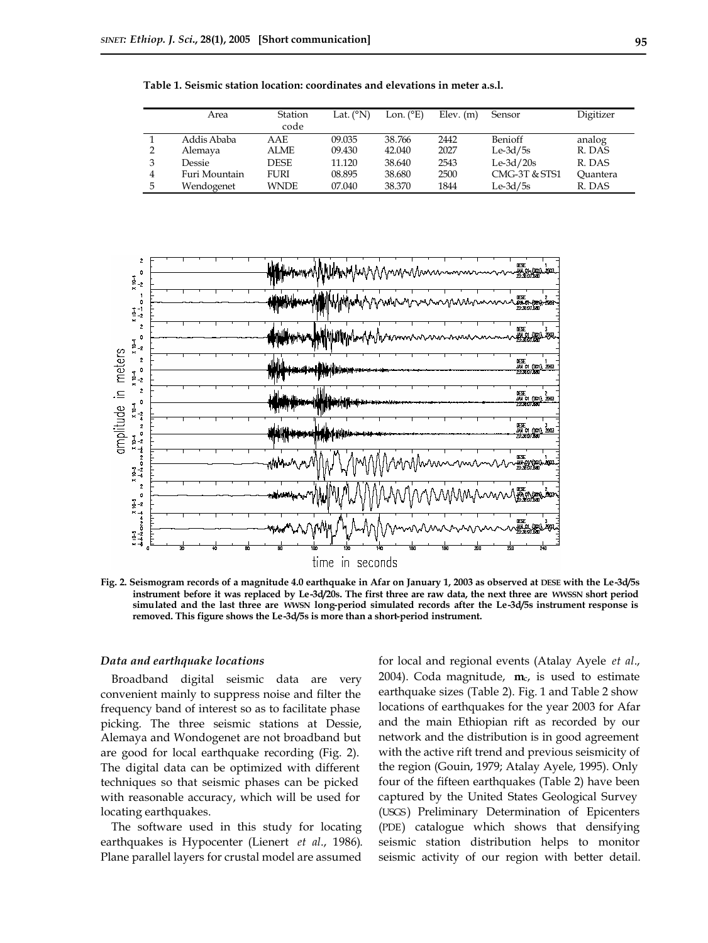|    | Area          | Station<br>code | Lat. $(^{\circ}N)$ | Lon. $(^{\circ}E)$ | $Elev.$ (m) | Sensor        | Digitizer |
|----|---------------|-----------------|--------------------|--------------------|-------------|---------------|-----------|
|    | Addis Ababa   | AAE             | 09.035             | 38.766             | 2442        | Benioff       | analog    |
|    | Alemaya       | ALME            | 09.430             | 42.040             | 2027        | $Le-3d/5s$    | R. DAS    |
| 3  | Dessie        | <b>DESE</b>     | 11.120             | 38.640             | 2543        | $Le-3d/20s$   | R. DAS    |
| 4  | Furi Mountain | FURI            | 08.895             | 38.680             | 2500        | CMG-3T & STS1 | Ouantera  |
| 5. | Wendogenet    | <b>WNDE</b>     | 07.040             | 38.370             | 1844        | $Le-3d/5s$    | R. DAS    |

**Table 1. Seismic station location: coordinates and elevations in meter a.s.l.**



**Fig. 2. Seismogram records of a magnitude 4.0 earthquake in Afar on January 1, 2003 as observed at DESE with the Le-3d/5s instrument before it was replaced by Le-3d/20s. The first three are raw data, the next three are WWSSN short period simulated and the last three are WWSN long-period simulated records after the Le-3d/5s instrument response is removed. This figure shows the Le-3d/5s is more than a short-period instrument.**

## *Data and earthquake locations*

Broadband digital seismic data are very convenient mainly to suppress noise and filter the frequency band of interest so as to facilitate phase picking. The three seismic stations at Dessie, Alemaya and Wondogenet are not broadband but are good for local earthquake recording (Fig. 2). The digital data can be optimized with different techniques so that seismic phases can be picked with reasonable accuracy, which will be used for locating earthquakes.

The software used in this study for locating earthquakes is Hypocenter (Lienert *et al*., 1986). Plane parallel layers for crustal model are assumed for local and regional events (Atalay Ayele *et al*., 2004). Coda magnitude, **m**c, is used to estimate earthquake sizes (Table 2). Fig. 1 and Table 2 show locations of earthquakes for the year 2003 for Afar and the main Ethiopian rift as recorded by our network and the distribution is in good agreement with the active rift trend and previous seismicity of the region (Gouin, 1979; Atalay Ayele, 1995). Only four of the fifteen earthquakes (Table 2) have been captured by the United States Geological Survey (USGS) Preliminary Determination of Epicenters (PDE) catalogue which shows that densifying seismic station distribution helps to monitor seismic activity of our region with better detail.